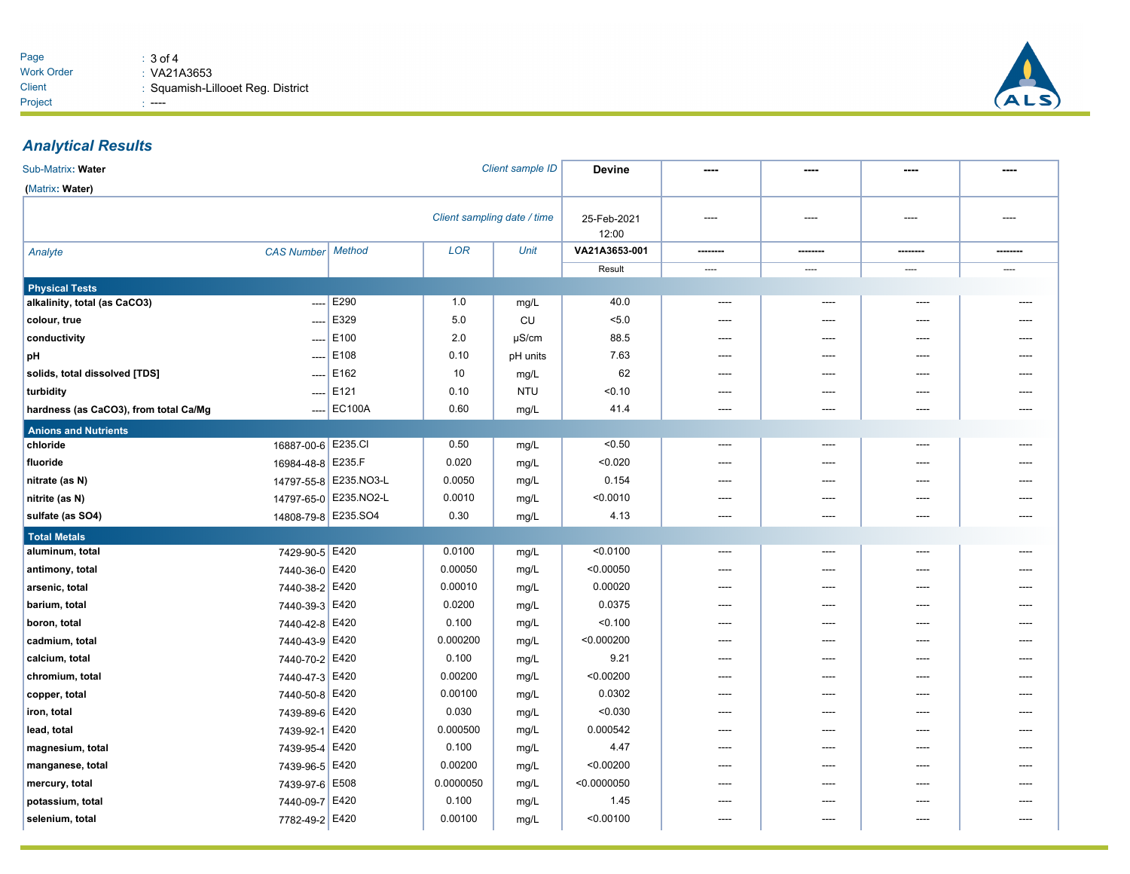

## *Analytical Results*

| Client sample ID<br>Sub-Matrix: Water |                          |                       | <b>Devine</b> |                      |               |          |                |       |       |
|---------------------------------------|--------------------------|-----------------------|---------------|----------------------|---------------|----------|----------------|-------|-------|
| (Matrix: Water)                       |                          |                       |               |                      |               |          |                |       |       |
| Client sampling date / time           |                          |                       |               | 25-Feb-2021<br>12:00 | ----          | ----     | ----           | ----  |       |
| Analyte                               | <b>CAS Number</b>        | Method                | <b>LOR</b>    | <b>Unit</b>          | VA21A3653-001 | -------- | -------        |       |       |
|                                       |                          |                       |               |                      | Result        | ----     | ----           | ----  | ----  |
| <b>Physical Tests</b>                 |                          |                       |               |                      |               |          |                |       |       |
| alkalinity, total (as CaCO3)          | $\overline{\phantom{a}}$ | E290                  | 1.0           | mg/L                 | 40.0          | $---$    | ----           | ----  |       |
| colour, true                          | ----                     | E329                  | 5.0           | <b>CU</b>            | 5.0           | $---$    | ----           | ----  |       |
| conductivity                          | ----                     | E100                  | 2.0           | $\mu$ S/cm           | 88.5          | ----     | ----           | ----  |       |
| pH                                    | $---$                    | E108                  | 0.10          | pH units             | 7.63          |          | ----           | ----  |       |
| solids, total dissolved [TDS]         | $---$                    | E162                  | 10            | mg/L                 | 62            |          | ----           | ----  |       |
| turbidity                             | $\cdots$                 | E121                  | 0.10          | <b>NTU</b>           | < 0.10        |          | ----           | ----  |       |
| hardness (as CaCO3), from total Ca/Mg | ----                     | <b>EC100A</b>         | 0.60          | mg/L                 | 41.4          | $---$    | $---$          | $---$ | $---$ |
| <b>Anions and Nutrients</b>           |                          |                       |               |                      |               |          |                |       |       |
| chloride                              | 16887-00-6 E235.CI       |                       | 0.50          | mg/L                 | < 0.50        | ----     | ----           | ----  |       |
| fluoride                              | 16984-48-8 E235.F        |                       | 0.020         | mg/L                 | < 0.020       | $---$    | ----           | ----  |       |
| nitrate (as N)                        |                          | 14797-55-8 E235.NO3-L | 0.0050        | mg/L                 | 0.154         |          |                |       |       |
| nitrite (as N)                        |                          | 14797-65-0 E235.NO2-L | 0.0010        | mg/L                 | < 0.0010      |          |                |       |       |
| sulfate (as SO4)                      | 14808-79-8 E235.SO4      |                       | 0.30          | mg/L                 | 4.13          |          | ----           | ----  |       |
| <b>Total Metals</b>                   |                          |                       |               |                      |               |          |                |       |       |
| aluminum, total                       | 7429-90-5 E420           |                       | 0.0100        | mg/L                 | < 0.0100      | $---$    | $---$          | ----  |       |
| antimony, total                       | 7440-36-0 E420           |                       | 0.00050       | mg/L                 | < 0.00050     | ----     | ----           | ----  |       |
| arsenic, total                        | 7440-38-2 E420           |                       | 0.00010       | mg/L                 | 0.00020       | ----     | ----           | ----  |       |
| barium, total                         | 7440-39-3 E420           |                       | 0.0200        | mg/L                 | 0.0375        | ----     | ----           | ----  |       |
| boron, total                          | 7440-42-8 E420           |                       | 0.100         | mg/L                 | < 0.100       |          | ----           | ----  |       |
| cadmium, total                        | 7440-43-9 E420           |                       | 0.000200      | mg/L                 | < 0.000200    | ----     | ----           | ----  |       |
| calcium, total                        | 7440-70-2 E420           |                       | 0.100         | mg/L                 | 9.21          | ----     | $\overline{a}$ | ----  |       |
| chromium, total                       | 7440-47-3 E420           |                       | 0.00200       | mg/L                 | < 0.00200     | $---$    | $---$          | $---$ | ----  |
| copper, total                         | 7440-50-8 E420           |                       | 0.00100       | mg/L                 | 0.0302        | ----     | $---$          | ----  |       |
| iron, total                           | 7439-89-6 E420           |                       | 0.030         | mg/L                 | < 0.030       | ----     | ----           | ----  |       |
| lead, total                           | 7439-92-1 E420           |                       | 0.000500      | mg/L                 | 0.000542      | $---$    | ----           | ----  |       |
| magnesium, total                      | 7439-95-4 E420           |                       | 0.100         | mg/L                 | 4.47          |          |                | ----  |       |
| manganese, total                      | 7439-96-5 E420           |                       | 0.00200       | mg/L                 | < 0.00200     |          |                | ----  |       |
| mercury, total                        | 7439-97-6                | E508                  | 0.0000050     | mg/L                 | < 0.0000050   |          |                |       |       |
| potassium, total                      | 7440-09-7                | E420                  | 0.100         | mg/L                 | 1.45          | ----     | $---$          | ----  |       |
| selenium, total                       | 7782-49-2 E420           |                       | 0.00100       | mg/L                 | < 0.00100     | ----     | $---$          | ----  |       |